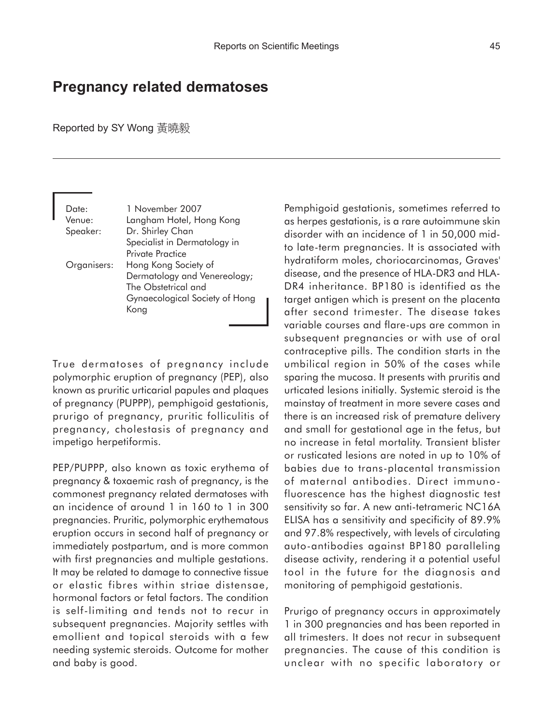## **Pregnancy related dermatoses**

Reported by SY Wong 黃曉毅

Date: 1 November 2007 Venue: Langham Hotel, Hong Kong Speaker: Dr. Shirley Chan Specialist in Dermatology in Private Practice Organisers: Hong Kong Society of Dermatology and Venereology; The Obstetrical and Gynaecological Society of Hong Kong

True dermatoses of pregnancy include polymorphic eruption of pregnancy (PEP), also known as pruritic urticarial papules and plaques of pregnancy (PUPPP), pemphigoid gestationis, prurigo of pregnancy, pruritic folliculitis of pregnancy, cholestasis of pregnancy and impetigo herpetiformis.

PEP/PUPPP, also known as toxic erythema of pregnancy & toxaemic rash of pregnancy, is the commonest pregnancy related dermatoses with an incidence of around 1 in 160 to 1 in 300 pregnancies. Pruritic, polymorphic erythematous eruption occurs in second half of pregnancy or immediately postpartum, and is more common with first pregnancies and multiple gestations. It may be related to damage to connective tissue or elastic fibres within striae distensae, hormonal factors or fetal factors. The condition is self-limiting and tends not to recur in subsequent pregnancies. Majority settles with emollient and topical steroids with a few needing systemic steroids. Outcome for mother and baby is good.

Pemphigoid gestationis, sometimes referred to as herpes gestationis, is a rare autoimmune skin disorder with an incidence of 1 in 50,000 midto late-term pregnancies. It is associated with hydratiform moles, choriocarcinomas, Graves' disease, and the presence of HLA-DR3 and HLA-DR4 inheritance. BP180 is identified as the target antigen which is present on the placenta after second trimester. The disease takes variable courses and flare-ups are common in subsequent pregnancies or with use of oral contraceptive pills. The condition starts in the umbilical region in 50% of the cases while sparing the mucosa. It presents with pruritis and urticated lesions initially. Systemic steroid is the mainstay of treatment in more severe cases and there is an increased risk of premature delivery and small for gestational age in the fetus, but no increase in fetal mortality. Transient blister or rusticated lesions are noted in up to 10% of babies due to trans-placental transmission of maternal antibodies. Direct immunofluorescence has the highest diagnostic test sensitivity so far. A new anti-tetrameric NC16A ELISA has a sensitivity and specificity of 89.9% and 97.8% respectively, with levels of circulating auto-antibodies against BP180 paralleling disease activity, rendering it a potential useful tool in the future for the diagnosis and monitoring of pemphigoid gestationis.

Prurigo of pregnancy occurs in approximately 1 in 300 pregnancies and has been reported in all trimesters. It does not recur in subsequent pregnancies. The cause of this condition is unclear with no specific laboratory or